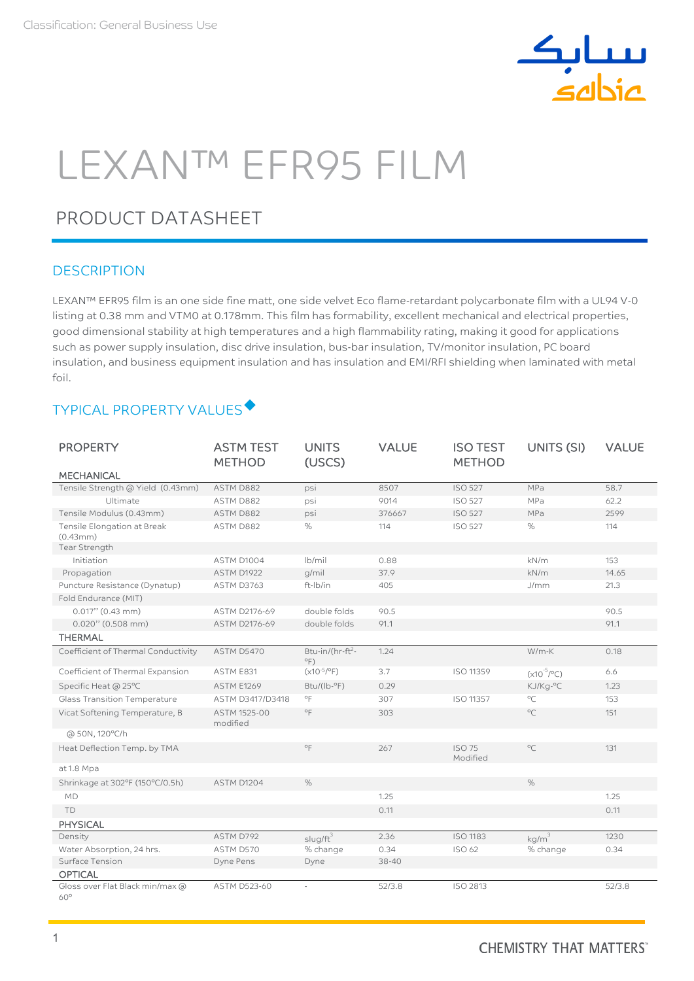

# LEXAN™ EFR95 FILM

# PRODUCT DATASHEET

## **DESCRIPTION**

LEXAN™ EFR95 film is an one side fine matt, one side velvet Eco flame-retardant polycarbonate film with a UL94 V-0 listing at 0.38 mm and VTM0 at 0.178mm. This film has formability, excellent mechanical and electrical properties, good dimensional stability at high temperatures and a high flammability rating, making it good for applications such as power supply insulation, disc drive insulation, bus-bar insulation, TV/monitor insulation, PC board insulation, and business equipment insulation and has insulation and EMI/RFI shielding when laminated with metal foil.

## TYPICAL PROPERTY VALUES

| <b>PROPERTY</b>                                       | <b>ASTM TEST</b><br><b>METHOD</b> | <b>UNITS</b><br>(USCS)                        | <b>VALUE</b> | <b>ISO TEST</b><br><b>METHOD</b> | UNITS (SI)             | <b>VALUE</b> |
|-------------------------------------------------------|-----------------------------------|-----------------------------------------------|--------------|----------------------------------|------------------------|--------------|
| <b>MECHANICAL</b>                                     |                                   |                                               |              |                                  |                        |              |
| Tensile Strength @ Yield (0.43mm)                     | ASTM D882                         | psi                                           | 8507         | <b>ISO 527</b>                   | MPa                    | 58.7         |
| Ultimate                                              | ASTM D882                         | psi                                           | 9014         | <b>ISO 527</b>                   | MPa                    | 62.2         |
| Tensile Modulus (0.43mm)                              | ASTM D882                         | psi                                           | 376667       | <b>ISO 527</b>                   | MPa                    | 2599         |
| Tensile Elongation at Break<br>(0.43mm)               | ASTM D882                         | %                                             | 114          | <b>ISO 527</b>                   | %                      | 114          |
| Tear Strength                                         |                                   |                                               |              |                                  |                        |              |
| Initiation                                            | ASTM D1004                        | $lb$ mil                                      | 0.88         |                                  | kN/m                   | 153          |
| Propagation                                           | ASTM D1922                        | g/mil                                         | 37.9         |                                  | kN/m                   | 14.65        |
| Puncture Resistance (Dynatup)<br>Fold Endurance (MIT) | ASTM D3763                        | ft-Ib/in                                      | 405          |                                  | J/mm                   | 21.3         |
| $0.017"$ (0.43 mm)                                    | ASTM D2176-69                     | double folds                                  | 90.5         |                                  |                        | 90.5         |
| $0.020$ " (0.508 mm)                                  | ASTM D2176-69                     | double folds                                  | 91.1         |                                  |                        | 91.1         |
| <b>THERMAL</b>                                        |                                   |                                               |              |                                  |                        |              |
| Coefficient of Thermal Conductivity                   | <b>ASTM D5470</b>                 | Btu-in/(hr-ft <sup>2</sup> -<br>$^{\circ}$ F) | 1.24         |                                  | $W/m-K$                | 0.18         |
| Coefficient of Thermal Expansion                      | ASTM E831                         | $(x10^{-5}/^{\circ}F)$                        | 3.7          | ISO 11359                        | $(x10^{-5}/^{\circ}C)$ | 6.6          |
| Specific Heat @ 25°C                                  | <b>ASTM E1269</b>                 | $Btu/(lb - P)$                                | 0.29         |                                  | KJ/Kg-°C               | 1.23         |
| <b>Glass Transition Temperature</b>                   | ASTM D3417/D3418                  | $^{\circ}$ F                                  | 307          | ISO 11357                        | $^{\circ}$ C           | 153          |
| Vicat Softening Temperature, B                        | ASTM 1525-00<br>modified          | $^{\circ}$ F                                  | 303          |                                  | $^{\circ}$ C           | 151          |
| @ 50N, 120°C/h                                        |                                   |                                               |              |                                  |                        |              |
| Heat Deflection Temp. by TMA                          |                                   | $^{\circ}$ F                                  | 267          | <b>ISO 75</b><br>Modified        | $^{\circ}$ C           | 131          |
| at 1.8 Mpa                                            |                                   |                                               |              |                                  |                        |              |
| Shrinkage at 302°F (150°C/0.5h)                       | ASTM D1204                        | $\%$                                          |              |                                  | $\%$                   |              |
| <b>MD</b>                                             |                                   |                                               | 1.25         |                                  |                        | 1.25         |
| TD                                                    |                                   |                                               | 0.11         |                                  |                        | 0.11         |
| <b>PHYSICAL</b>                                       |                                   |                                               |              |                                  |                        |              |
| Density                                               | ASTM D792                         | $slug/ft^3$                                   | 2.36         | <b>ISO 1183</b>                  | kg/m <sup>3</sup>      | 1230         |
| Water Absorption, 24 hrs.                             | ASTM D570                         | % change                                      | 0.34         | ISO 62                           | % change               | 0.34         |
| Surface Tension                                       | Dyne Pens                         | Dyne                                          | 38-40        |                                  |                        |              |
| <b>OPTICAL</b>                                        |                                   |                                               |              |                                  |                        |              |
| Gloss over Flat Black min/max @<br>$60^\circ$         | <b>ASTM D523-60</b>               | ×.                                            | 52/3.8       | ISO 2813                         |                        | 52/3.8       |